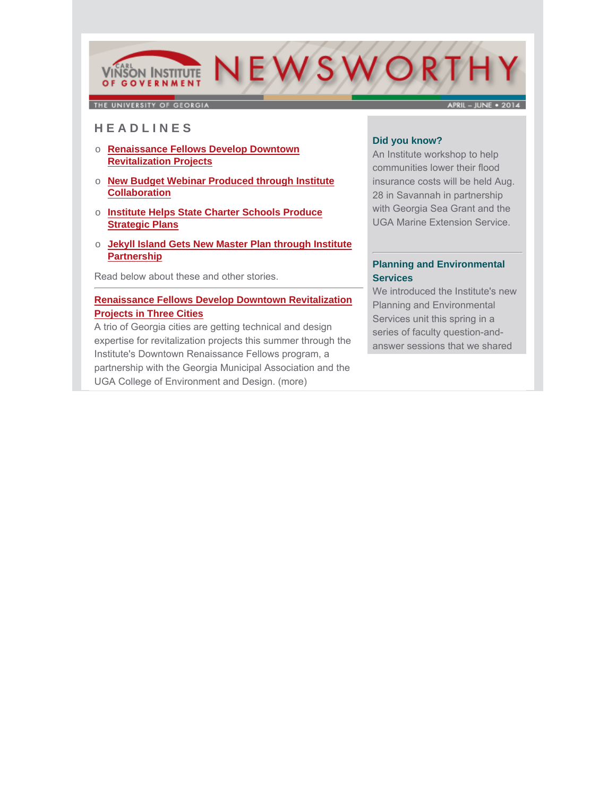# NEWSWORTH **VINSON INSTITUTE OF GOVERNMENT**

THE UNIVERSITY OF GEORGIA

 $APRIL - JUNE + 2014$ 

# **H E A D L I N E S**

- o **Renaissance Fellows Develop Downtown Revitalization Projects**
- o **New Budget Webinar Produced through Institute Collaboration**
- o **Institute Helps State Charter Schools Produce Strategic Plans**
- o **Jekyll Island Gets New Master Plan through Institute Partnership**

Read below about these and other stories.

## **Renaissance Fellows Develop Downtown Revitalization Projects in Three Cities**

A trio of Georgia cities are getting technical and design [expertise for revitalization projects this summer through the](http://cviog.uga.edu/news/spotlights/062514-renaissance.html)  Institute's Downtown Renaissance Fellows program, a partnership with the Georgia Municipal Association and the UGA College of Environment and Design. (more)

#### **Did you know?**

An Institute workshop to help communities lower their flood insurance costs will be held Aug. 28 in Savannah in partnership with Georgia Sea Grant and the UGA Marine Extension Service.

#### **Planning and Environmental Services**

We introduced the Institute's new Planning and Environmental Services unit this spring in a series of faculty question-andanswer sessions that we shared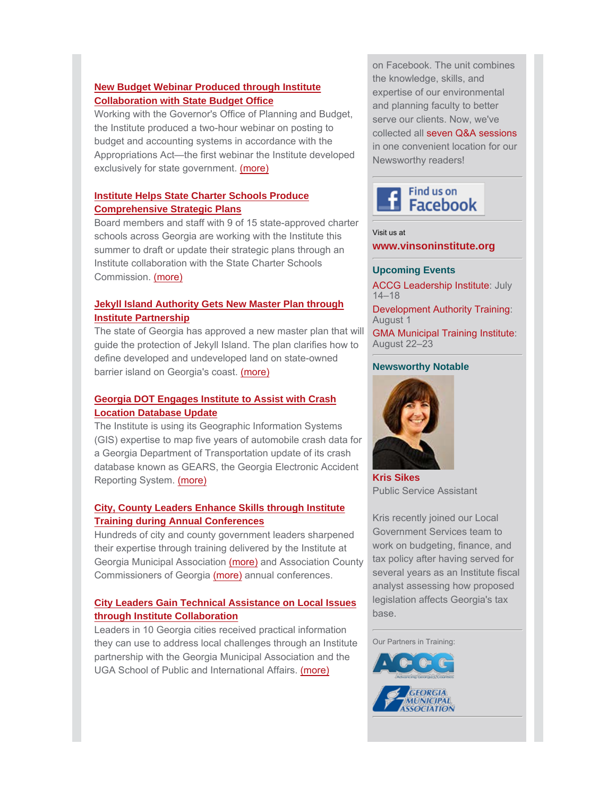## **New Budget Webinar Produced through Institute Collaboration with State Budget Office**

Working with the Governor's Office of Planning and Budget, the Institute produced a two-hour webinar on posting to budget and accounting systems in accordance with the [Appropriations Act—the first webinar the Institute developed](http://www.cviog.uga.edu/news/spotlights/051214-budget.html) exclusively for state government. (more)

# **Institute Helps State Charter Schools Produce Comprehensive Strategic Plans**

[Board members and staff with 9 of 15 state-approved charter](http://www.cviog.uga.edu/news/spotlights/062714-plans.html) schools across Georgia are working with the Institute this summer to draft or update their strategic plans through an Institute collaboration with the State Charter Schools Commission. (more)

# **Jekyll Island Authority Gets New Master Plan through Institute Partnership**

[The state of Georgia has approved a new master plan that](http://www.cviog.uga.edu/news/spotlights/041614-jekyll.html) will guide the protection of Jekyll Island. The plan clarifies how to define developed and undeveloped land on state-owned barrier island on Georgia's coast. (more)

# **Georgia DOT Engages Institute to Assist with Crash Location Database Update**

The Institute is using its Geographic Information Systems [\(GIS\) expertise to map five years of automobile crash data for](http://cviog.uga.edu/news/spotlights/042914-dot.html) a Georgia Department of Transportation update of its crash database known as GEARS, the Georgia Electronic Accident Reporting System. (more)

## **[City, County Leaders Enhance Skills through Institute](http://cviog.uga.edu/news/spotlights/050114-conference.html) Training during Annual Conferences**

Hundreds of city and county government leaders sharpened their expertise through training delivered by the Institute at Georgia Municipal Associatio[n \(more\)](http://cviog.uga.edu/news/spotlights/070714-gma.html) and Association County Commissioners of Georgia [\(more\)](http://cviog.uga.edu/news/spotlights/050114-conference.html) annual conferences.

# **City Leaders Gain Technical Assistance on Local Issues through Institute Collaboration**

Leaders in 10 Georgia cities received practical information [they can use to address local challenges through an Institute](http://cviog.uga.edu/news/spotlights/060614-cities.html) partnership with the Georgia Municipal Association and the UGA School of Public and International Affairs. (more)

on Facebook. The unit combines the knowledge, skills, and expertise of our environmental and planning faculty to better serve our clients. Now, we've collected all seven Q&A sessions in one convenient location for our Newsworthy readers!



Visit us at **[www.vinsoninstitute.org](http://www.cviog.uga.edu)**

#### **Upcoming Events**

**ACCG Leadership Institute: July** 14–18

Development Authority Training: August 1

GMA Municipal Training Institute: August 22–23

#### **Newsworthy Notable**



**[Kris Sikes](http://www.cviog.uga.edu/about-us/faculty-staff/kris-sikes.html)** Public Service Assistant

Kris recently joined our Local Government Services team to work on budgeting, finance, and tax policy after having served for several years as an Institute fiscal analyst assessing how proposed legislation affects Georgia's tax base.

Our Partners in Training: